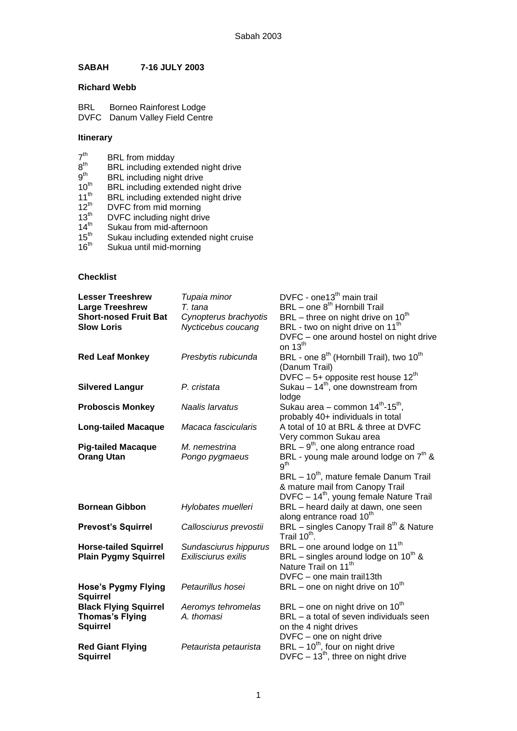## **SABAH 7-16 JULY 2003**

## **Richard Webb**

BRL Borneo Rainforest Lodge DVFC Danum Valley Field Centre

## **Itinerary**

- 7 BRL from midday
- 8 BRL including extended night drive
- 9 BRL including night drive
- **BRL** including extended night drive
- 11<sup>th</sup> BRL including extended night drive
- 12<sup>th</sup> DVFC from mid morning
- **DVFC** including night drive
- 
- $14<sup>th</sup>$  Sukau from mid-afternoon<br> $15<sup>th</sup>$  Sukau including extended i<br> $16<sup>th</sup>$  Sukua until mid-morning Sukau including extended night cruise
- Sukua until mid-morning

## **Checklist**

| <b>Lesser Treeshrew</b><br><b>Large Treeshrew</b> | Tupaia minor<br>T. tana | DVFC - one13 <sup>th</sup> main trail<br>BRL - one 8 <sup>th</sup> Hornbill Trail |
|---------------------------------------------------|-------------------------|-----------------------------------------------------------------------------------|
| <b>Short-nosed Fruit Bat</b>                      | Cynopterus brachyotis   | BRL - three on night drive on 10 <sup>th</sup>                                    |
| <b>Slow Loris</b>                                 | Nycticebus coucang      | BRL - two on night drive on 11 <sup>th</sup>                                      |
|                                                   |                         | DVFC - one around hostel on night drive                                           |
|                                                   |                         | on $13^{th}$                                                                      |
| <b>Red Leaf Monkey</b>                            | Presbytis rubicunda     | BRL - one 8 <sup>th</sup> (Hornbill Trail), two 10 <sup>th</sup><br>(Danum Trail) |
|                                                   |                         | DVFC - 5+ opposite rest house $12^{th}$                                           |
| <b>Silvered Langur</b>                            | P. cristata             | Sukau $-14^{th}$ , one downstream from                                            |
|                                                   |                         | lodge                                                                             |
| <b>Proboscis Monkey</b>                           | Naalis larvatus         | Sukau area - common 14th-15th,                                                    |
|                                                   |                         | probably 40+ individuals in total                                                 |
| <b>Long-tailed Macaque</b>                        | Macaca fascicularis     | A total of 10 at BRL & three at DVFC                                              |
|                                                   |                         | Very common Sukau area                                                            |
| <b>Pig-tailed Macaque</b>                         | M. nemestrina           | $BRL - 9th$ , one along entrance road                                             |
| <b>Orang Utan</b>                                 | Pongo pygmaeus          | BRL - young male around lodge on $7th$ &<br>g <sup>th</sup>                       |
|                                                   |                         | BRL - 10 <sup>th</sup> , mature female Danum Trail                                |
|                                                   |                         | & mature mail from Canopy Trail                                                   |
|                                                   |                         | DVFC - 14 <sup>th</sup> , young female Nature Trail                               |
| <b>Bornean Gibbon</b>                             | Hylobates muelleri      | BRL - heard daily at dawn, one seen                                               |
|                                                   |                         | along entrance road 10 <sup>th</sup>                                              |
| <b>Prevost's Squirrel</b>                         | Callosciurus prevostii  | BRL - singles Canopy Trail 8 <sup>th</sup> & Nature<br>Trail 10 <sup>th</sup> .   |
| <b>Horse-tailed Squirrel</b>                      | Sundasciurus hippurus   | BRL - one around lodge on 11 <sup>th</sup>                                        |
| <b>Plain Pygmy Squirrel</b>                       | Exilisciurus exilis     | BRL – singles around lodge on $10^{th}$ &                                         |
|                                                   |                         | Nature Trail on 11 <sup>th</sup>                                                  |
|                                                   |                         | DVFC - one main trail13th                                                         |
| <b>Hose's Pygmy Flying</b>                        | Petaurillus hosei       | BRL – one on night drive on $10^{th}$                                             |
| <b>Squirrel</b>                                   |                         |                                                                                   |
| <b>Black Flying Squirrel</b>                      | Aeromys tehromelas      | BRL – one on night drive on $10^{th}$                                             |
| <b>Thomas's Flying</b>                            | A. thomasi              | BRL - a total of seven individuals seen                                           |
| <b>Squirrel</b>                                   |                         | on the 4 night drives                                                             |
|                                                   |                         | DVFC - one on night drive                                                         |
| <b>Red Giant Flying</b>                           | Petaurista petaurista   | $BRL - 10^{th}$ , four on night drive                                             |
| <b>Squirrel</b>                                   |                         | DVFC $-13th$ , three on night drive                                               |